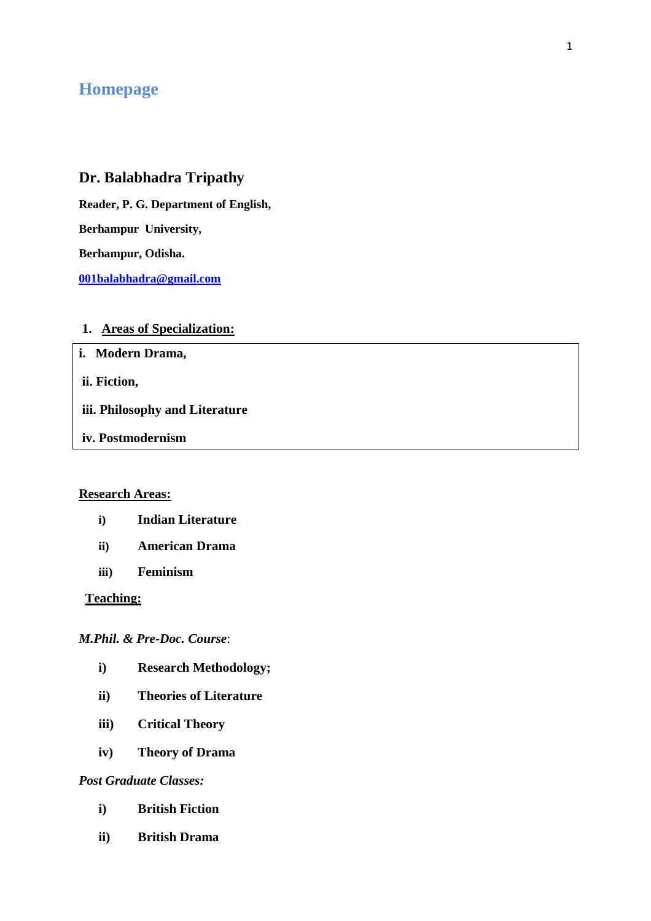# **Homepage**

# **Dr. Balabhadra Tripathy**

**Reader, P. G. Department of English, Berhampur University, Berhampur, Odisha. 001balabhadra@gmail.com** 

# **1. Areas of Specialization:**

**i. Modern Drama,** 

 **ii. Fiction,** 

 **iii. Philosophy and Literature** 

 **iv. Postmodernism** 

#### **Research Areas:**

- **i) Indian Literature**
- **ii) American Drama**
- **iii) Feminism**

## **Teaching:**

## *M.Phil. & Pre-Doc. Course*:

- **i) Research Methodology;**
- **ii) Theories of Literature**
- **iii) Critical Theory**
- **iv) Theory of Drama**

## *Post Graduate Classes:*

- **i) British Fiction**
- **ii) British Drama**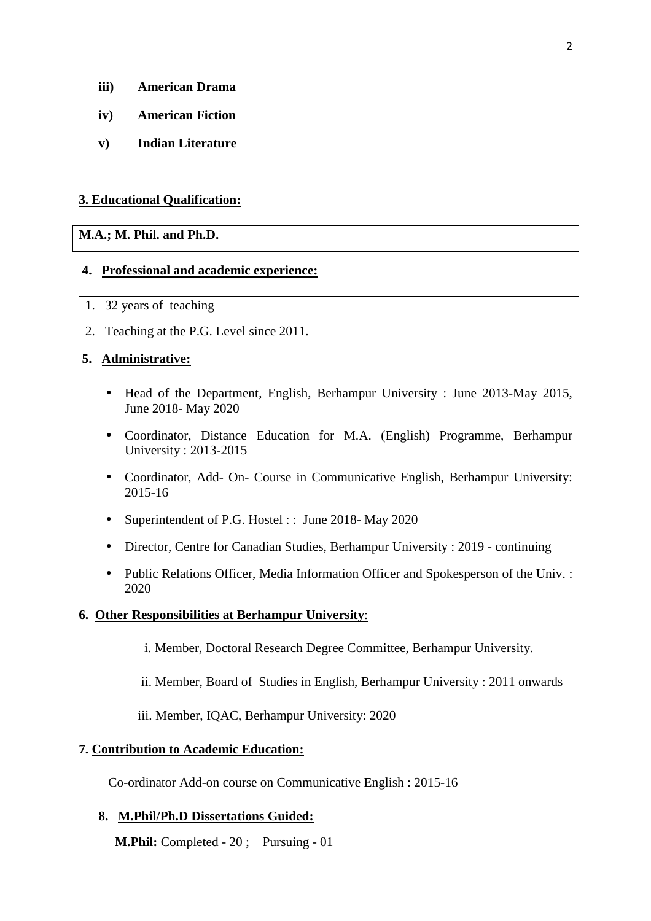- **iii) American Drama**
- **iv) American Fiction**
- **v) Indian Literature**

#### **3. Educational Qualification:**

# **M.A.; M. Phil. and Ph.D.**

#### **4. Professional and academic experience:**

- 1. 32 years of teaching
- 2. Teaching at the P.G. Level since 2011.

## **5. Administrative:**

- Head of the Department, English, Berhampur University : June 2013-May 2015, June 2018- May 2020
- Coordinator, Distance Education for M.A. (English) Programme, Berhampur University : 2013-2015
- Coordinator, Add- On- Course in Communicative English, Berhampur University: 2015-16
- Superintendent of P.G. Hostel : : June 2018- May 2020
- Director, Centre for Canadian Studies, Berhampur University : 2019 continuing
- Public Relations Officer, Media Information Officer and Spokesperson of the Univ. : 2020

#### **6. Other Responsibilities at Berhampur University**:

- i. Member, Doctoral Research Degree Committee, Berhampur University.
- ii. Member, Board of Studies in English, Berhampur University : 2011 onwards
- iii. Member, IQAC, Berhampur University: 2020

#### **7. Contribution to Academic Education:**

Co-ordinator Add-on course on Communicative English : 2015-16

## **8. M.Phil/Ph.D Dissertations Guided:**

 **M.Phil:** Completed - 20 ; Pursuing - 01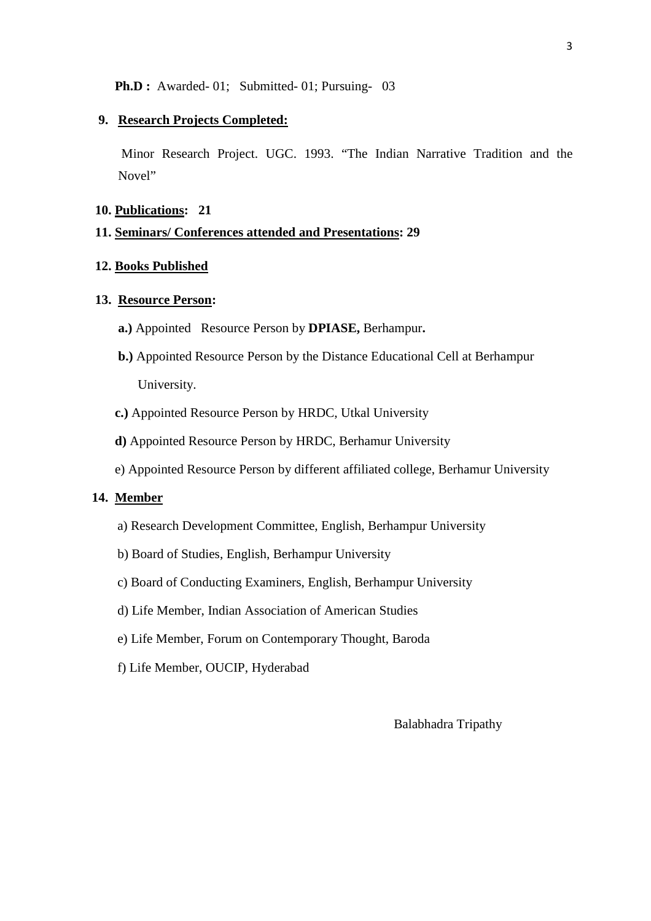**Ph.D :** Awarded- 01; Submitted- 01; Pursuing- 03

## **9. Research Projects Completed:**

 Minor Research Project. UGC. 1993. "The Indian Narrative Tradition and the Novel"

## **10. Publications: 21**

# **11. Seminars/ Conferences attended and Presentations: 29**

#### **12. Books Published**

#### **13. Resource Person:**

- **a.)** Appointed Resource Person by **DPIASE,** Berhampur**.**
- **b.)** Appointed Resource Person by the Distance Educational Cell at Berhampur University.
- **c.)** Appointed Resource Person by HRDC, Utkal University
- **d)** Appointed Resource Person by HRDC, Berhamur University
- e) Appointed Resource Person by different affiliated college, Berhamur University

### **14. Member**

- a) Research Development Committee, English, Berhampur University
- b) Board of Studies, English, Berhampur University
- c) Board of Conducting Examiners, English, Berhampur University
- d) Life Member, Indian Association of American Studies
- e) Life Member, Forum on Contemporary Thought, Baroda
- f) Life Member, OUCIP, Hyderabad

Balabhadra Tripathy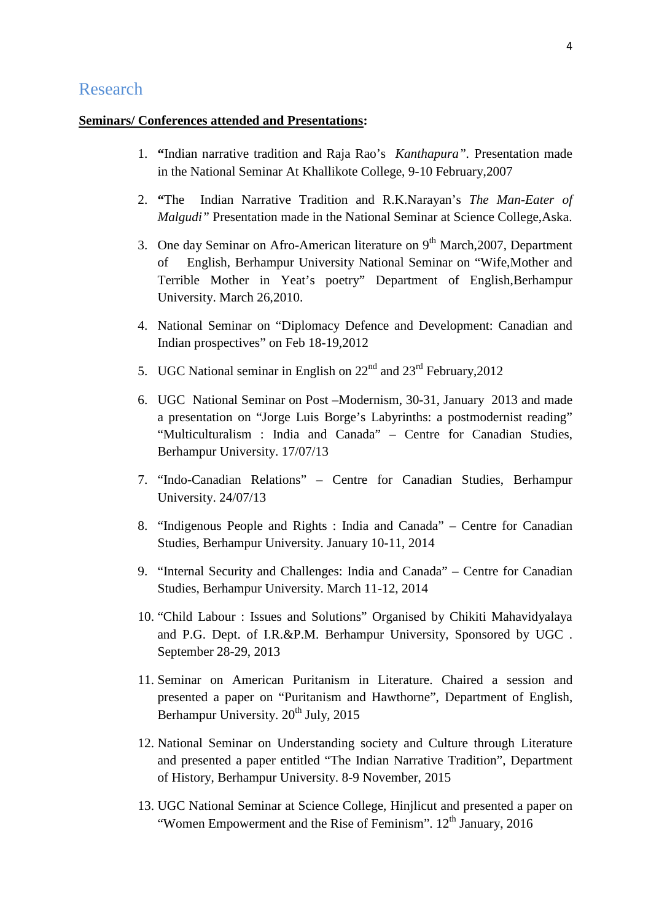# Research

### **Seminars/ Conferences attended and Presentations:**

- 1. **"**Indian narrative tradition and Raja Rao's *Kanthapura".* Presentation made in the National Seminar At Khallikote College, 9-10 February,2007
- 2. **"**The Indian Narrative Tradition and R.K.Narayan's *The Man-Eater of Malgudi"* Presentation made in the National Seminar at Science College,Aska.
- 3. One day Seminar on Afro-American literature on 9<sup>th</sup> March, 2007, Department of English, Berhampur University National Seminar on "Wife,Mother and Terrible Mother in Yeat's poetry" Department of English,Berhampur University. March 26,2010.
- 4. National Seminar on "Diplomacy Defence and Development: Canadian and Indian prospectives" on Feb 18-19,2012
- 5. UGC National seminar in English on  $22<sup>nd</sup>$  and  $23<sup>rd</sup>$  February, 2012
- 6. UGC National Seminar on Post –Modernism, 30-31, January 2013 and made a presentation on "Jorge Luis Borge's Labyrinths: a postmodernist reading" "Multiculturalism : India and Canada" – Centre for Canadian Studies, Berhampur University. 17/07/13
- 7. "Indo-Canadian Relations" Centre for Canadian Studies, Berhampur University. 24/07/13
- 8. "Indigenous People and Rights : India and Canada" Centre for Canadian Studies, Berhampur University. January 10-11, 2014
- 9. "Internal Security and Challenges: India and Canada" Centre for Canadian Studies, Berhampur University. March 11-12, 2014
- 10. "Child Labour : Issues and Solutions" Organised by Chikiti Mahavidyalaya and P.G. Dept. of I.R.&P.M. Berhampur University, Sponsored by UGC . September 28-29, 2013
- 11. Seminar on American Puritanism in Literature. Chaired a session and presented a paper on "Puritanism and Hawthorne", Department of English, Berhampur University. 20<sup>th</sup> July, 2015
- 12. National Seminar on Understanding society and Culture through Literature and presented a paper entitled "The Indian Narrative Tradition", Department of History, Berhampur University. 8-9 November, 2015
- 13. UGC National Seminar at Science College, Hinjlicut and presented a paper on "Women Empowerment and the Rise of Feminism". 12<sup>th</sup> January, 2016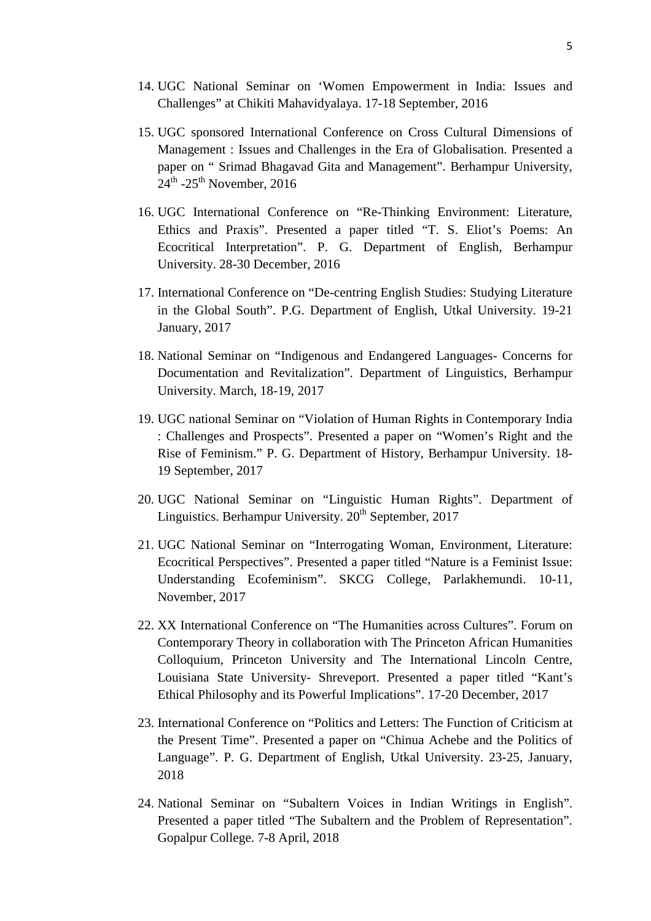- 14. UGC National Seminar on 'Women Empowerment in India: Issues and Challenges" at Chikiti Mahavidyalaya. 17-18 September, 2016
- 15. UGC sponsored International Conference on Cross Cultural Dimensions of Management : Issues and Challenges in the Era of Globalisation. Presented a paper on " Srimad Bhagavad Gita and Management". Berhampur University,  $24^{\text{th}}$  -25<sup>th</sup> November, 2016
- 16. UGC International Conference on "Re-Thinking Environment: Literature, Ethics and Praxis". Presented a paper titled "T. S. Eliot's Poems: An Ecocritical Interpretation". P. G. Department of English, Berhampur University. 28-30 December, 2016
- 17. International Conference on "De-centring English Studies: Studying Literature in the Global South". P.G. Department of English, Utkal University. 19-21 January, 2017
- 18. National Seminar on "Indigenous and Endangered Languages- Concerns for Documentation and Revitalization". Department of Linguistics, Berhampur University. March, 18-19, 2017
- 19. UGC national Seminar on "Violation of Human Rights in Contemporary India : Challenges and Prospects". Presented a paper on "Women's Right and the Rise of Feminism." P. G. Department of History, Berhampur University. 18- 19 September, 2017
- 20. UGC National Seminar on "Linguistic Human Rights". Department of Linguistics. Berhampur University.  $20<sup>th</sup>$  September, 2017
- 21. UGC National Seminar on "Interrogating Woman, Environment, Literature: Ecocritical Perspectives". Presented a paper titled "Nature is a Feminist Issue: Understanding Ecofeminism". SKCG College, Parlakhemundi. 10-11, November, 2017
- 22. XX International Conference on "The Humanities across Cultures". Forum on Contemporary Theory in collaboration with The Princeton African Humanities Colloquium, Princeton University and The International Lincoln Centre, Louisiana State University- Shreveport. Presented a paper titled "Kant's Ethical Philosophy and its Powerful Implications". 17-20 December, 2017
- 23. International Conference on "Politics and Letters: The Function of Criticism at the Present Time". Presented a paper on "Chinua Achebe and the Politics of Language". P. G. Department of English, Utkal University. 23-25, January, 2018
- 24. National Seminar on "Subaltern Voices in Indian Writings in English". Presented a paper titled "The Subaltern and the Problem of Representation". Gopalpur College. 7-8 April, 2018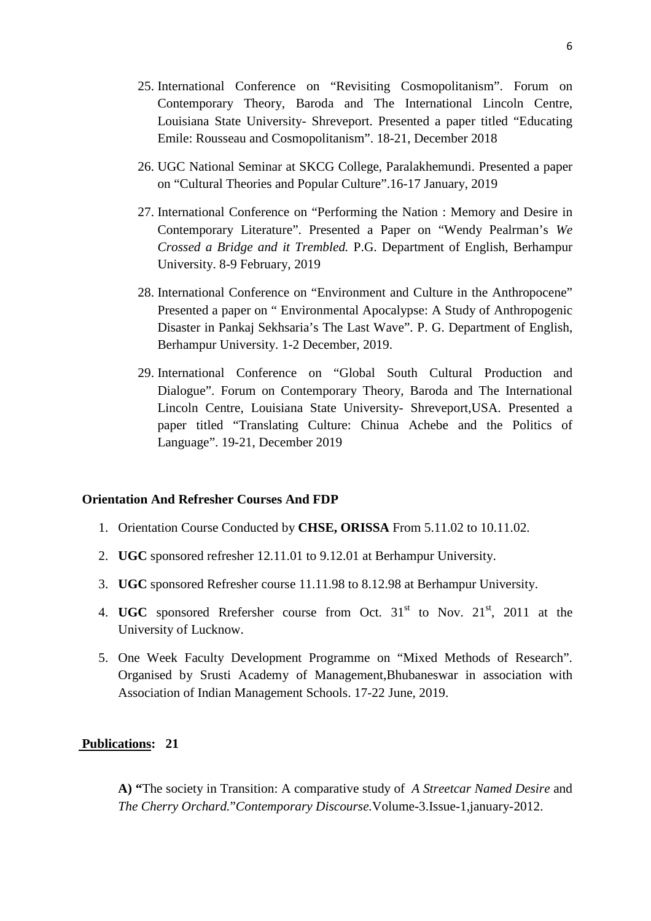- 25. International Conference on "Revisiting Cosmopolitanism". Forum on Contemporary Theory, Baroda and The International Lincoln Centre, Louisiana State University- Shreveport. Presented a paper titled "Educating Emile: Rousseau and Cosmopolitanism". 18-21, December 2018
- 26. UGC National Seminar at SKCG College, Paralakhemundi. Presented a paper on "Cultural Theories and Popular Culture".16-17 January, 2019
- 27. International Conference on "Performing the Nation : Memory and Desire in Contemporary Literature". Presented a Paper on "Wendy Pealrman's *We Crossed a Bridge and it Trembled.* P.G. Department of English, Berhampur University. 8-9 February, 2019
- 28. International Conference on "Environment and Culture in the Anthropocene" Presented a paper on " Environmental Apocalypse: A Study of Anthropogenic Disaster in Pankaj Sekhsaria's The Last Wave". P. G. Department of English, Berhampur University. 1-2 December, 2019.
- 29. International Conference on "Global South Cultural Production and Dialogue". Forum on Contemporary Theory, Baroda and The International Lincoln Centre, Louisiana State University- Shreveport,USA. Presented a paper titled "Translating Culture: Chinua Achebe and the Politics of Language". 19-21, December 2019

## **Orientation And Refresher Courses And FDP**

- 1. Orientation Course Conducted by **CHSE, ORISSA** From 5.11.02 to 10.11.02.
- 2. **UGC** sponsored refresher 12.11.01 to 9.12.01 at Berhampur University.
- 3. **UGC** sponsored Refresher course 11.11.98 to 8.12.98 at Berhampur University.
- 4. **UGC** sponsored Rrefersher course from Oct. 31<sup>st</sup> to Nov. 21<sup>st</sup>, 2011 at the University of Lucknow.
- 5. One Week Faculty Development Programme on "Mixed Methods of Research". Organised by Srusti Academy of Management,Bhubaneswar in association with Association of Indian Management Schools. 17-22 June, 2019.

### **Publications: 21**

**A) "**The society in Transition: A comparative study of *A Streetcar Named Desire* and *The Cherry Orchard.*"*Contemporary Discourse.*Volume-3.Issue-1,january-2012.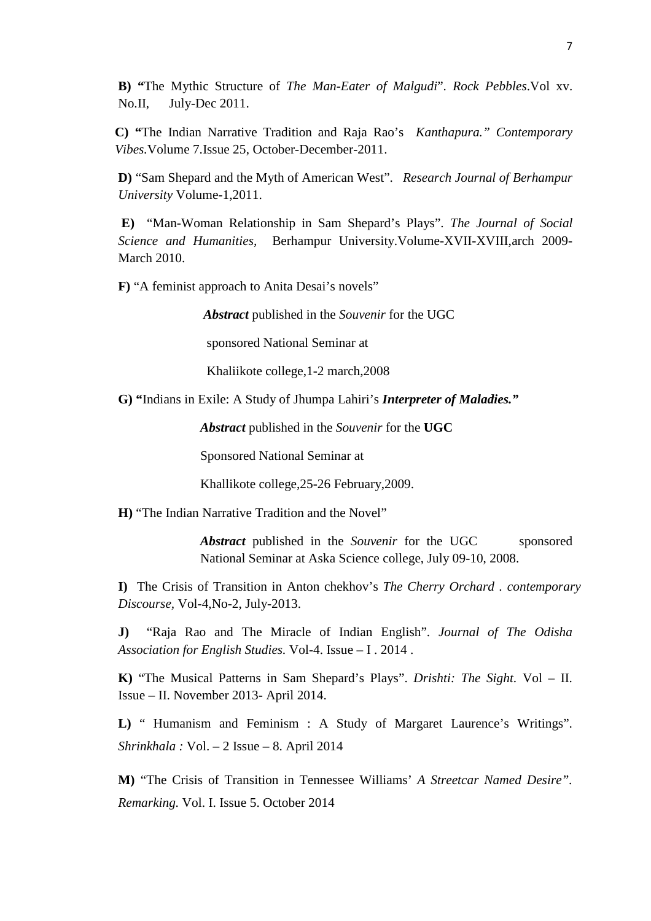**B) "**The Mythic Structure of *The Man-Eater of Malgudi*". *Rock Pebbles*.Vol xv. No.II, July-Dec 2011.

**C) "**The Indian Narrative Tradition and Raja Rao's *Kanthapura." Contemporary Vibes.*Volume 7.Issue 25, October-December-2011.

**D)** "Sam Shepard and the Myth of American West". *Research Journal of Berhampur University* Volume-1,2011.

**E)** "Man-Woman Relationship in Sam Shepard's Plays". *The Journal of Social Science and Humanities,* Berhampur University.Volume-XVII-XVIII,arch 2009- March 2010.

**F)** "A feminist approach to Anita Desai's novels"

*Abstract* published in the *Souvenir* for the UGC

sponsored National Seminar at

Khaliikote college,1-2 march,2008

**G) "**Indians in Exile: A Study of Jhumpa Lahiri's *Interpreter of Maladies."*

 *Abstract* published in the *Souvenir* for the **UGC** 

Sponsored National Seminar at

Khallikote college,25-26 February,2009.

**H)** "The Indian Narrative Tradition and the Novel"

Abstract published in the *Souvenir* for the UGC sponsored National Seminar at Aska Science college, July 09-10, 2008.

**I)** The Crisis of Transition in Anton chekhov's *The Cherry Orchard . contemporary Discourse,* Vol-4,No-2, July-2013.

**J)** "Raja Rao and The Miracle of Indian English". *Journal of The Odisha Association for English Studies.* Vol-4. Issue – I . 2014 .

**K)** "The Musical Patterns in Sam Shepard's Plays". *Drishti: The Sight.* Vol – II. Issue – II. November 2013- April 2014.

**L)** " Humanism and Feminism : A Study of Margaret Laurence's Writings". *Shrinkhala :* Vol. – 2 Issue – 8. April 2014

**M)** "The Crisis of Transition in Tennessee Williams' *A Streetcar Named Desire". Remarking.* Vol. I. Issue 5. October 2014